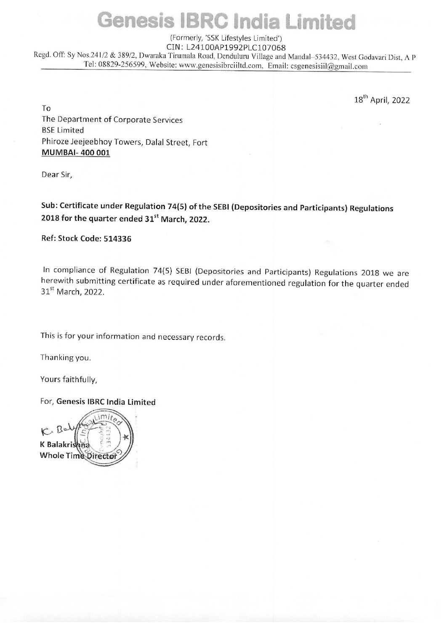## (Formerly, 'SSK Lifestyles Limited') CIN: L24100AP1992PLC107068

Regd. Off: Sy Nos.241/2 & 389/2, Dwaraka Tirumala Road, Denduluru Village and Mandal-534432, West Godavari Dist, A P Genesis IBRC<br>
(Formerly, 'SSK Liggd. Off: Sy Nos.241/2 & 389/2, Dwaraka Tirumala Road, De<br>
Tel: 08829-256599, Website: www.genesisit Tel: 08829-256599, Website: www.genesisibrciiltd.com, Email: esgenesisiil@gmail.com

18" April, 2022

To The Department of Corporate Services BSE Limited Phiroze Jeejeebhoy Towers, Dalal Street, Fort MUMBAI- 400 001

Dear Sir,

Sub: Certificate under Regulation 74(5) of the SEBI (Depositories and Participants) Regulations 2018 for the quarter ended 31<sup>st</sup> March, 2022.

Ref: Stock Code: 514336

In compliance of Regulation 74(5) SEBI (Depositories and Participants) Regulations 2018 we are herewith submitting certificate as required under aforementioned regulation for the quarter ended 31<sup>st</sup> March, 2022.

This is for your information and necessary records.

Thanking you.

Yours faithfully,

For, Genesis IBRC India Limited